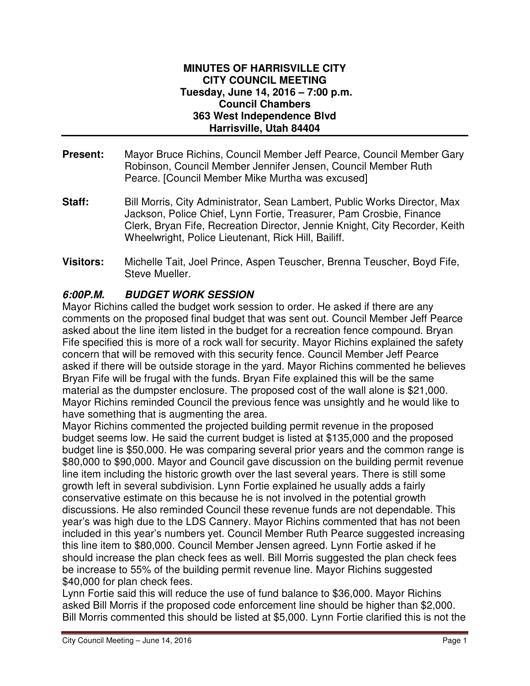#### **MINUTES OF HARRISVILLE CITY CITY COUNCIL MEETING Tuesday, June 14, 2016 – 7:00 p.m. Council Chambers 363 West Independence Blvd Harrisville, Utah 84404**

- **Present:** Mayor Bruce Richins, Council Member Jeff Pearce, Council Member Gary Robinson, Council Member Jennifer Jensen, Council Member Ruth Pearce. [Council Member Mike Murtha was excused]
- **Staff:** Bill Morris, City Administrator, Sean Lambert, Public Works Director, Max Jackson, Police Chief, Lynn Fortie, Treasurer, Pam Crosbie, Finance Clerk, Bryan Fife, Recreation Director, Jennie Knight, City Recorder, Keith Wheelwright, Police Lieutenant, Rick Hill, Bailiff.
- **Visitors:** Michelle Tait, Joel Prince, Aspen Teuscher, Brenna Teuscher, Boyd Fife, Steve Mueller.

# **6:00P.M. BUDGET WORK SESSION**

Mayor Richins called the budget work session to order. He asked if there are any comments on the proposed final budget that was sent out. Council Member Jeff Pearce asked about the line item listed in the budget for a recreation fence compound. Bryan Fife specified this is more of a rock wall for security. Mayor Richins explained the safety concern that will be removed with this security fence. Council Member Jeff Pearce asked if there will be outside storage in the yard. Mayor Richins commented he believes Bryan Fife will be frugal with the funds. Bryan Fife explained this will be the same material as the dumpster enclosure. The proposed cost of the wall alone is \$21,000. Mayor Richins reminded Council the previous fence was unsightly and he would like to have something that is augmenting the area.

Mayor Richins commented the projected building permit revenue in the proposed budget seems low. He said the current budget is listed at \$135,000 and the proposed budget line is \$50,000. He was comparing several prior years and the common range is \$80,000 to \$90,000. Mayor and Council gave discussion on the building permit revenue line item including the historic growth over the last several years. There is still some growth left in several subdivision. Lynn Fortie explained he usually adds a fairly conservative estimate on this because he is not involved in the potential growth discussions. He also reminded Council these revenue funds are not dependable. This year's was high due to the LDS Cannery. Mayor Richins commented that has not been included in this year's numbers yet. Council Member Ruth Pearce suggested increasing this line item to \$80,000. Council Member Jensen agreed. Lynn Fortie asked if he should increase the plan check fees as well. Bill Morris suggested the plan check fees be increase to 55% of the building permit revenue line. Mayor Richins suggested \$40,000 for plan check fees.

Lynn Fortie said this will reduce the use of fund balance to \$36,000. Mayor Richins asked Bill Morris if the proposed code enforcement line should be higher than \$2,000. Bill Morris commented this should be listed at \$5,000. Lynn Fortie clarified this is not the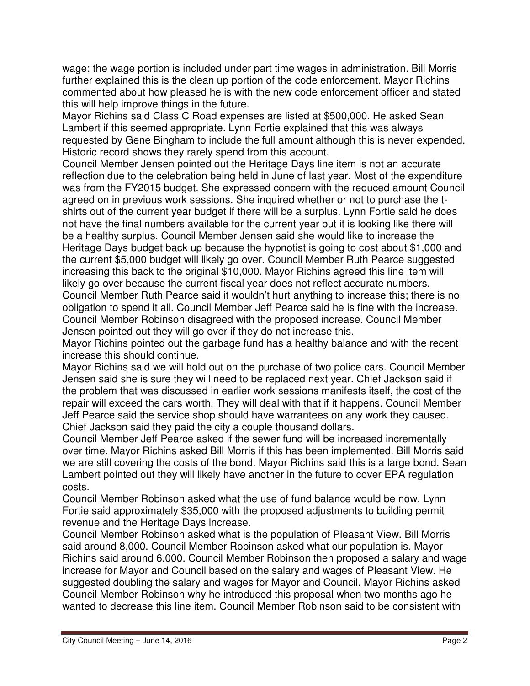wage; the wage portion is included under part time wages in administration. Bill Morris further explained this is the clean up portion of the code enforcement. Mayor Richins commented about how pleased he is with the new code enforcement officer and stated this will help improve things in the future.

Mayor Richins said Class C Road expenses are listed at \$500,000. He asked Sean Lambert if this seemed appropriate. Lynn Fortie explained that this was always requested by Gene Bingham to include the full amount although this is never expended. Historic record shows they rarely spend from this account.

Council Member Jensen pointed out the Heritage Days line item is not an accurate reflection due to the celebration being held in June of last year. Most of the expenditure was from the FY2015 budget. She expressed concern with the reduced amount Council agreed on in previous work sessions. She inquired whether or not to purchase the tshirts out of the current year budget if there will be a surplus. Lynn Fortie said he does not have the final numbers available for the current year but it is looking like there will be a healthy surplus. Council Member Jensen said she would like to increase the Heritage Days budget back up because the hypnotist is going to cost about \$1,000 and the current \$5,000 budget will likely go over. Council Member Ruth Pearce suggested increasing this back to the original \$10,000. Mayor Richins agreed this line item will likely go over because the current fiscal year does not reflect accurate numbers. Council Member Ruth Pearce said it wouldn't hurt anything to increase this; there is no obligation to spend it all. Council Member Jeff Pearce said he is fine with the increase. Council Member Robinson disagreed with the proposed increase. Council Member Jensen pointed out they will go over if they do not increase this.

Mayor Richins pointed out the garbage fund has a healthy balance and with the recent increase this should continue.

Mayor Richins said we will hold out on the purchase of two police cars. Council Member Jensen said she is sure they will need to be replaced next year. Chief Jackson said if the problem that was discussed in earlier work sessions manifests itself, the cost of the repair will exceed the cars worth. They will deal with that if it happens. Council Member Jeff Pearce said the service shop should have warrantees on any work they caused. Chief Jackson said they paid the city a couple thousand dollars.

Council Member Jeff Pearce asked if the sewer fund will be increased incrementally over time. Mayor Richins asked Bill Morris if this has been implemented. Bill Morris said we are still covering the costs of the bond. Mayor Richins said this is a large bond. Sean Lambert pointed out they will likely have another in the future to cover EPA regulation costs.

Council Member Robinson asked what the use of fund balance would be now. Lynn Fortie said approximately \$35,000 with the proposed adjustments to building permit revenue and the Heritage Days increase.

Council Member Robinson asked what is the population of Pleasant View. Bill Morris said around 8,000. Council Member Robinson asked what our population is. Mayor Richins said around 6,000. Council Member Robinson then proposed a salary and wage increase for Mayor and Council based on the salary and wages of Pleasant View. He suggested doubling the salary and wages for Mayor and Council. Mayor Richins asked Council Member Robinson why he introduced this proposal when two months ago he wanted to decrease this line item. Council Member Robinson said to be consistent with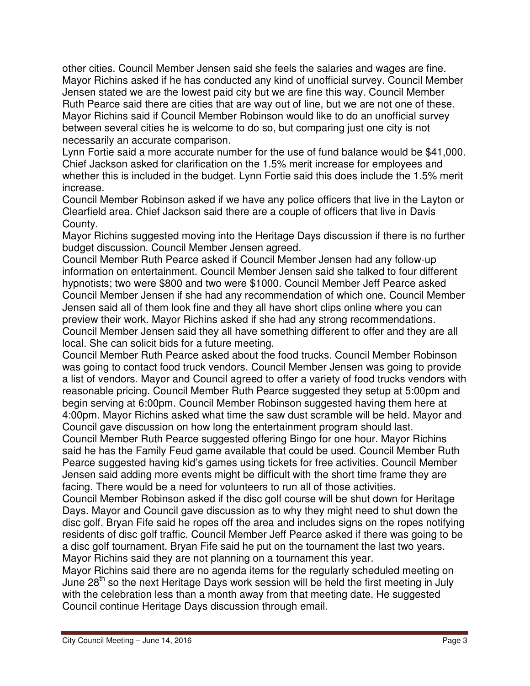other cities. Council Member Jensen said she feels the salaries and wages are fine. Mayor Richins asked if he has conducted any kind of unofficial survey. Council Member Jensen stated we are the lowest paid city but we are fine this way. Council Member Ruth Pearce said there are cities that are way out of line, but we are not one of these. Mayor Richins said if Council Member Robinson would like to do an unofficial survey between several cities he is welcome to do so, but comparing just one city is not necessarily an accurate comparison.

Lynn Fortie said a more accurate number for the use of fund balance would be \$41,000. Chief Jackson asked for clarification on the 1.5% merit increase for employees and whether this is included in the budget. Lynn Fortie said this does include the 1.5% merit increase.

Council Member Robinson asked if we have any police officers that live in the Layton or Clearfield area. Chief Jackson said there are a couple of officers that live in Davis County.

Mayor Richins suggested moving into the Heritage Days discussion if there is no further budget discussion. Council Member Jensen agreed.

Council Member Ruth Pearce asked if Council Member Jensen had any follow-up information on entertainment. Council Member Jensen said she talked to four different hypnotists; two were \$800 and two were \$1000. Council Member Jeff Pearce asked Council Member Jensen if she had any recommendation of which one. Council Member Jensen said all of them look fine and they all have short clips online where you can preview their work. Mayor Richins asked if she had any strong recommendations. Council Member Jensen said they all have something different to offer and they are all local. She can solicit bids for a future meeting.

Council Member Ruth Pearce asked about the food trucks. Council Member Robinson was going to contact food truck vendors. Council Member Jensen was going to provide a list of vendors. Mayor and Council agreed to offer a variety of food trucks vendors with reasonable pricing. Council Member Ruth Pearce suggested they setup at 5:00pm and begin serving at 6:00pm. Council Member Robinson suggested having them here at 4:00pm. Mayor Richins asked what time the saw dust scramble will be held. Mayor and Council gave discussion on how long the entertainment program should last.

Council Member Ruth Pearce suggested offering Bingo for one hour. Mayor Richins said he has the Family Feud game available that could be used. Council Member Ruth Pearce suggested having kid's games using tickets for free activities. Council Member Jensen said adding more events might be difficult with the short time frame they are facing. There would be a need for volunteers to run all of those activities.

Council Member Robinson asked if the disc golf course will be shut down for Heritage Days. Mayor and Council gave discussion as to why they might need to shut down the disc golf. Bryan Fife said he ropes off the area and includes signs on the ropes notifying residents of disc golf traffic. Council Member Jeff Pearce asked if there was going to be a disc golf tournament. Bryan Fife said he put on the tournament the last two years. Mayor Richins said they are not planning on a tournament this year.

Mayor Richins said there are no agenda items for the regularly scheduled meeting on June  $28<sup>th</sup>$  so the next Heritage Days work session will be held the first meeting in July with the celebration less than a month away from that meeting date. He suggested Council continue Heritage Days discussion through email.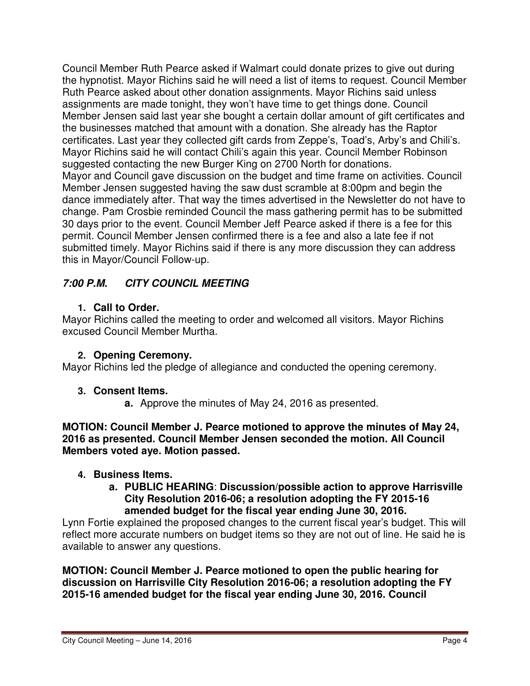Council Member Ruth Pearce asked if Walmart could donate prizes to give out during the hypnotist. Mayor Richins said he will need a list of items to request. Council Member Ruth Pearce asked about other donation assignments. Mayor Richins said unless assignments are made tonight, they won't have time to get things done. Council Member Jensen said last year she bought a certain dollar amount of gift certificates and the businesses matched that amount with a donation. She already has the Raptor certificates. Last year they collected gift cards from Zeppe's, Toad's, Arby's and Chili's. Mayor Richins said he will contact Chili's again this year. Council Member Robinson suggested contacting the new Burger King on 2700 North for donations. Mayor and Council gave discussion on the budget and time frame on activities. Council Member Jensen suggested having the saw dust scramble at 8:00pm and begin the dance immediately after. That way the times advertised in the Newsletter do not have to change. Pam Crosbie reminded Council the mass gathering permit has to be submitted 30 days prior to the event. Council Member Jeff Pearce asked if there is a fee for this permit. Council Member Jensen confirmed there is a fee and also a late fee if not submitted timely. Mayor Richins said if there is any more discussion they can address this in Mayor/Council Follow-up.

# **7:00 P.M. CITY COUNCIL MEETING**

# **1. Call to Order.**

Mayor Richins called the meeting to order and welcomed all visitors. Mayor Richins excused Council Member Murtha.

# **2. Opening Ceremony.**

Mayor Richins led the pledge of allegiance and conducted the opening ceremony.

# **3. Consent Items.**

**a.** Approve the minutes of May 24, 2016 as presented.

**MOTION: Council Member J. Pearce motioned to approve the minutes of May 24, 2016 as presented. Council Member Jensen seconded the motion. All Council Members voted aye. Motion passed.** 

# **4. Business Items.**

**a. PUBLIC HEARING**: **Discussion/possible action to approve Harrisville City Resolution 2016-06; a resolution adopting the FY 2015-16 amended budget for the fiscal year ending June 30, 2016.** 

Lynn Fortie explained the proposed changes to the current fiscal year's budget. This will reflect more accurate numbers on budget items so they are not out of line. He said he is available to answer any questions.

**MOTION: Council Member J. Pearce motioned to open the public hearing for discussion on Harrisville City Resolution 2016-06; a resolution adopting the FY 2015-16 amended budget for the fiscal year ending June 30, 2016. Council**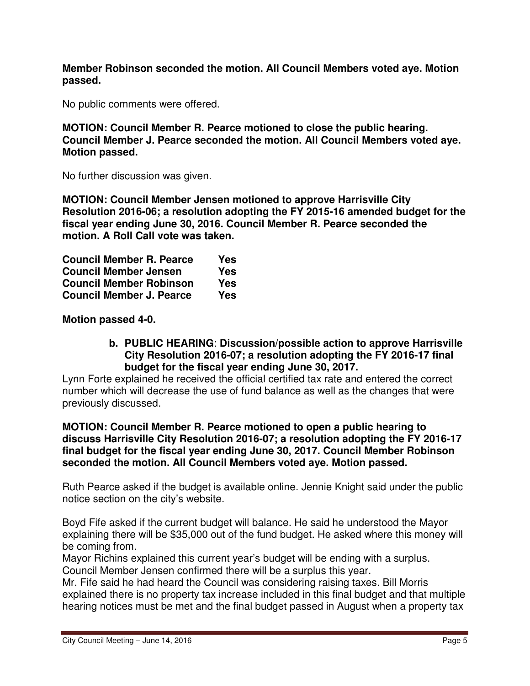**Member Robinson seconded the motion. All Council Members voted aye. Motion passed.** 

No public comments were offered.

**MOTION: Council Member R. Pearce motioned to close the public hearing. Council Member J. Pearce seconded the motion. All Council Members voted aye. Motion passed.** 

No further discussion was given.

**MOTION: Council Member Jensen motioned to approve Harrisville City Resolution 2016-06; a resolution adopting the FY 2015-16 amended budget for the fiscal year ending June 30, 2016. Council Member R. Pearce seconded the motion. A Roll Call vote was taken.** 

| <b>Council Member R. Pearce</b> | Yes |
|---------------------------------|-----|
| <b>Council Member Jensen</b>    | Yes |
| <b>Council Member Robinson</b>  | Yes |
| <b>Council Member J. Pearce</b> | Yes |

**Motion passed 4-0.** 

**b. PUBLIC HEARING**: **Discussion/possible action to approve Harrisville City Resolution 2016-07; a resolution adopting the FY 2016-17 final budget for the fiscal year ending June 30, 2017.**

Lynn Forte explained he received the official certified tax rate and entered the correct number which will decrease the use of fund balance as well as the changes that were previously discussed.

**MOTION: Council Member R. Pearce motioned to open a public hearing to discuss Harrisville City Resolution 2016-07; a resolution adopting the FY 2016-17 final budget for the fiscal year ending June 30, 2017. Council Member Robinson seconded the motion. All Council Members voted aye. Motion passed.** 

Ruth Pearce asked if the budget is available online. Jennie Knight said under the public notice section on the city's website.

Boyd Fife asked if the current budget will balance. He said he understood the Mayor explaining there will be \$35,000 out of the fund budget. He asked where this money will be coming from.

Mayor Richins explained this current year's budget will be ending with a surplus. Council Member Jensen confirmed there will be a surplus this year.

Mr. Fife said he had heard the Council was considering raising taxes. Bill Morris explained there is no property tax increase included in this final budget and that multiple hearing notices must be met and the final budget passed in August when a property tax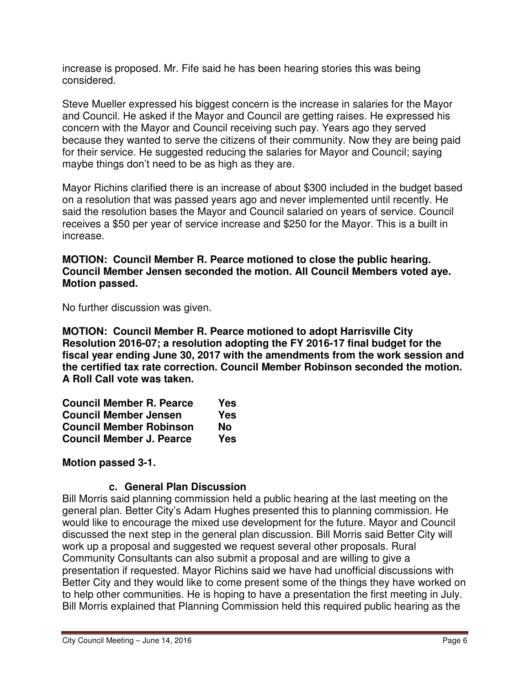increase is proposed. Mr. Fife said he has been hearing stories this was being considered.

Steve Mueller expressed his biggest concern is the increase in salaries for the Mayor and Council. He asked if the Mayor and Council are getting raises. He expressed his concern with the Mayor and Council receiving such pay. Years ago they served because they wanted to serve the citizens of their community. Now they are being paid for their service. He suggested reducing the salaries for Mayor and Council; saying maybe things don't need to be as high as they are.

Mayor Richins clarified there is an increase of about \$300 included in the budget based on a resolution that was passed years ago and never implemented until recently. He said the resolution bases the Mayor and Council salaried on years of service. Council receives a \$50 per year of service increase and \$250 for the Mayor. This is a built in increase.

#### **MOTION: Council Member R. Pearce motioned to close the public hearing. Council Member Jensen seconded the motion. All Council Members voted aye. Motion passed.**

No further discussion was given.

**MOTION: Council Member R. Pearce motioned to adopt Harrisville City Resolution 2016-07; a resolution adopting the FY 2016-17 final budget for the fiscal year ending June 30, 2017 with the amendments from the work session and the certified tax rate correction. Council Member Robinson seconded the motion. A Roll Call vote was taken.** 

| <b>Council Member R. Pearce</b> | Yes |
|---------------------------------|-----|
| <b>Council Member Jensen</b>    | Yes |
| <b>Council Member Robinson</b>  | Nο  |
| <b>Council Member J. Pearce</b> | Yes |

# **Motion passed 3-1.**

#### **c. General Plan Discussion**

Bill Morris said planning commission held a public hearing at the last meeting on the general plan. Better City's Adam Hughes presented this to planning commission. He would like to encourage the mixed use development for the future. Mayor and Council discussed the next step in the general plan discussion. Bill Morris said Better City will work up a proposal and suggested we request several other proposals. Rural Community Consultants can also submit a proposal and are willing to give a presentation if requested. Mayor Richins said we have had unofficial discussions with Better City and they would like to come present some of the things they have worked on to help other communities. He is hoping to have a presentation the first meeting in July. Bill Morris explained that Planning Commission held this required public hearing as the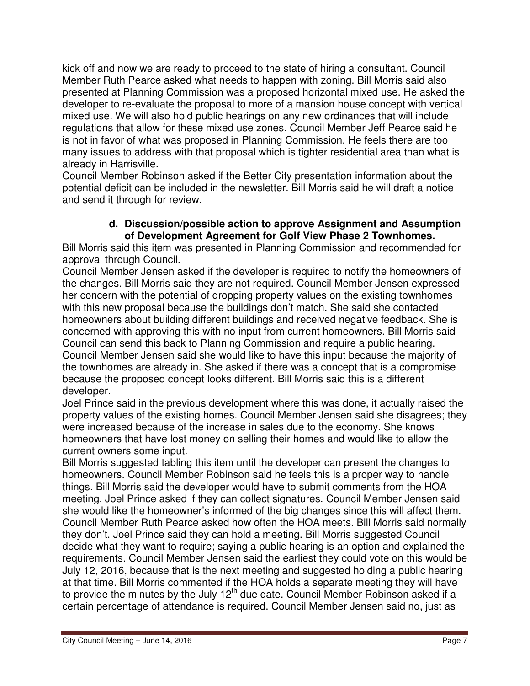kick off and now we are ready to proceed to the state of hiring a consultant. Council Member Ruth Pearce asked what needs to happen with zoning. Bill Morris said also presented at Planning Commission was a proposed horizontal mixed use. He asked the developer to re-evaluate the proposal to more of a mansion house concept with vertical mixed use. We will also hold public hearings on any new ordinances that will include regulations that allow for these mixed use zones. Council Member Jeff Pearce said he is not in favor of what was proposed in Planning Commission. He feels there are too many issues to address with that proposal which is tighter residential area than what is already in Harrisville.

Council Member Robinson asked if the Better City presentation information about the potential deficit can be included in the newsletter. Bill Morris said he will draft a notice and send it through for review.

### **d. Discussion/possible action to approve Assignment and Assumption of Development Agreement for Golf View Phase 2 Townhomes.**

Bill Morris said this item was presented in Planning Commission and recommended for approval through Council.

Council Member Jensen asked if the developer is required to notify the homeowners of the changes. Bill Morris said they are not required. Council Member Jensen expressed her concern with the potential of dropping property values on the existing townhomes with this new proposal because the buildings don't match. She said she contacted homeowners about building different buildings and received negative feedback. She is concerned with approving this with no input from current homeowners. Bill Morris said Council can send this back to Planning Commission and require a public hearing. Council Member Jensen said she would like to have this input because the majority of the townhomes are already in. She asked if there was a concept that is a compromise because the proposed concept looks different. Bill Morris said this is a different developer.

Joel Prince said in the previous development where this was done, it actually raised the property values of the existing homes. Council Member Jensen said she disagrees; they were increased because of the increase in sales due to the economy. She knows homeowners that have lost money on selling their homes and would like to allow the current owners some input.

Bill Morris suggested tabling this item until the developer can present the changes to homeowners. Council Member Robinson said he feels this is a proper way to handle things. Bill Morris said the developer would have to submit comments from the HOA meeting. Joel Prince asked if they can collect signatures. Council Member Jensen said she would like the homeowner's informed of the big changes since this will affect them. Council Member Ruth Pearce asked how often the HOA meets. Bill Morris said normally they don't. Joel Prince said they can hold a meeting. Bill Morris suggested Council decide what they want to require; saying a public hearing is an option and explained the requirements. Council Member Jensen said the earliest they could vote on this would be July 12, 2016, because that is the next meeting and suggested holding a public hearing at that time. Bill Morris commented if the HOA holds a separate meeting they will have to provide the minutes by the July 12<sup>th</sup> due date. Council Member Robinson asked if a certain percentage of attendance is required. Council Member Jensen said no, just as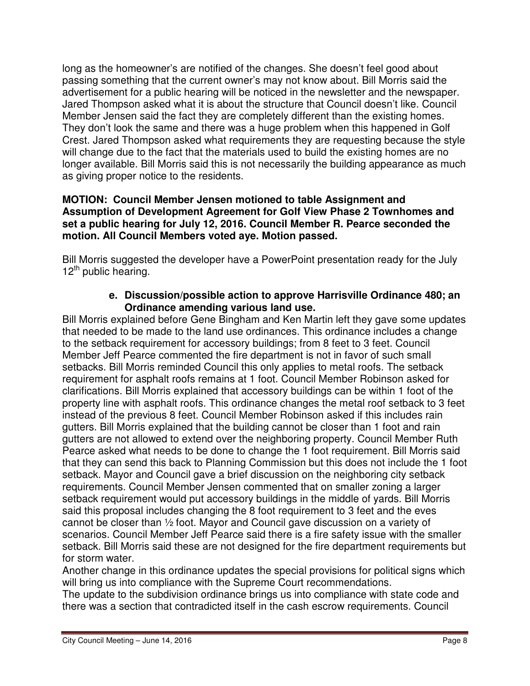long as the homeowner's are notified of the changes. She doesn't feel good about passing something that the current owner's may not know about. Bill Morris said the advertisement for a public hearing will be noticed in the newsletter and the newspaper. Jared Thompson asked what it is about the structure that Council doesn't like. Council Member Jensen said the fact they are completely different than the existing homes. They don't look the same and there was a huge problem when this happened in Golf Crest. Jared Thompson asked what requirements they are requesting because the style will change due to the fact that the materials used to build the existing homes are no longer available. Bill Morris said this is not necessarily the building appearance as much as giving proper notice to the residents.

#### **MOTION: Council Member Jensen motioned to table Assignment and Assumption of Development Agreement for Golf View Phase 2 Townhomes and set a public hearing for July 12, 2016. Council Member R. Pearce seconded the motion. All Council Members voted aye. Motion passed.**

Bill Morris suggested the developer have a PowerPoint presentation ready for the July  $12<sup>th</sup>$  public hearing.

### **e. Discussion/possible action to approve Harrisville Ordinance 480; an Ordinance amending various land use.**

Bill Morris explained before Gene Bingham and Ken Martin left they gave some updates that needed to be made to the land use ordinances. This ordinance includes a change to the setback requirement for accessory buildings; from 8 feet to 3 feet. Council Member Jeff Pearce commented the fire department is not in favor of such small setbacks. Bill Morris reminded Council this only applies to metal roofs. The setback requirement for asphalt roofs remains at 1 foot. Council Member Robinson asked for clarifications. Bill Morris explained that accessory buildings can be within 1 foot of the property line with asphalt roofs. This ordinance changes the metal roof setback to 3 feet instead of the previous 8 feet. Council Member Robinson asked if this includes rain gutters. Bill Morris explained that the building cannot be closer than 1 foot and rain gutters are not allowed to extend over the neighboring property. Council Member Ruth Pearce asked what needs to be done to change the 1 foot requirement. Bill Morris said that they can send this back to Planning Commission but this does not include the 1 foot setback. Mayor and Council gave a brief discussion on the neighboring city setback requirements. Council Member Jensen commented that on smaller zoning a larger setback requirement would put accessory buildings in the middle of yards. Bill Morris said this proposal includes changing the 8 foot requirement to 3 feet and the eves cannot be closer than ½ foot. Mayor and Council gave discussion on a variety of scenarios. Council Member Jeff Pearce said there is a fire safety issue with the smaller setback. Bill Morris said these are not designed for the fire department requirements but for storm water.

Another change in this ordinance updates the special provisions for political signs which will bring us into compliance with the Supreme Court recommendations.

The update to the subdivision ordinance brings us into compliance with state code and there was a section that contradicted itself in the cash escrow requirements. Council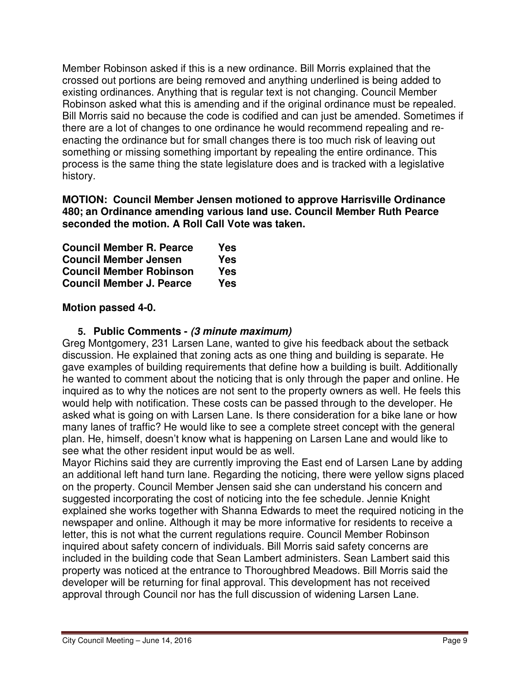Member Robinson asked if this is a new ordinance. Bill Morris explained that the crossed out portions are being removed and anything underlined is being added to existing ordinances. Anything that is regular text is not changing. Council Member Robinson asked what this is amending and if the original ordinance must be repealed. Bill Morris said no because the code is codified and can just be amended. Sometimes if there are a lot of changes to one ordinance he would recommend repealing and reenacting the ordinance but for small changes there is too much risk of leaving out something or missing something important by repealing the entire ordinance. This process is the same thing the state legislature does and is tracked with a legislative history.

**MOTION: Council Member Jensen motioned to approve Harrisville Ordinance 480; an Ordinance amending various land use. Council Member Ruth Pearce seconded the motion. A Roll Call Vote was taken.** 

| <b>Council Member R. Pearce</b> | Yes |
|---------------------------------|-----|
| <b>Council Member Jensen</b>    | Yes |
| <b>Council Member Robinson</b>  | Yes |
| <b>Council Member J. Pearce</b> | Yes |

# **Motion passed 4-0.**

### **5. Public Comments - (3 minute maximum)**

Greg Montgomery, 231 Larsen Lane, wanted to give his feedback about the setback discussion. He explained that zoning acts as one thing and building is separate. He gave examples of building requirements that define how a building is built. Additionally he wanted to comment about the noticing that is only through the paper and online. He inquired as to why the notices are not sent to the property owners as well. He feels this would help with notification. These costs can be passed through to the developer. He asked what is going on with Larsen Lane. Is there consideration for a bike lane or how many lanes of traffic? He would like to see a complete street concept with the general plan. He, himself, doesn't know what is happening on Larsen Lane and would like to see what the other resident input would be as well.

Mayor Richins said they are currently improving the East end of Larsen Lane by adding an additional left hand turn lane. Regarding the noticing, there were yellow signs placed on the property. Council Member Jensen said she can understand his concern and suggested incorporating the cost of noticing into the fee schedule. Jennie Knight explained she works together with Shanna Edwards to meet the required noticing in the newspaper and online. Although it may be more informative for residents to receive a letter, this is not what the current regulations require. Council Member Robinson inquired about safety concern of individuals. Bill Morris said safety concerns are included in the building code that Sean Lambert administers. Sean Lambert said this property was noticed at the entrance to Thoroughbred Meadows. Bill Morris said the developer will be returning for final approval. This development has not received approval through Council nor has the full discussion of widening Larsen Lane.